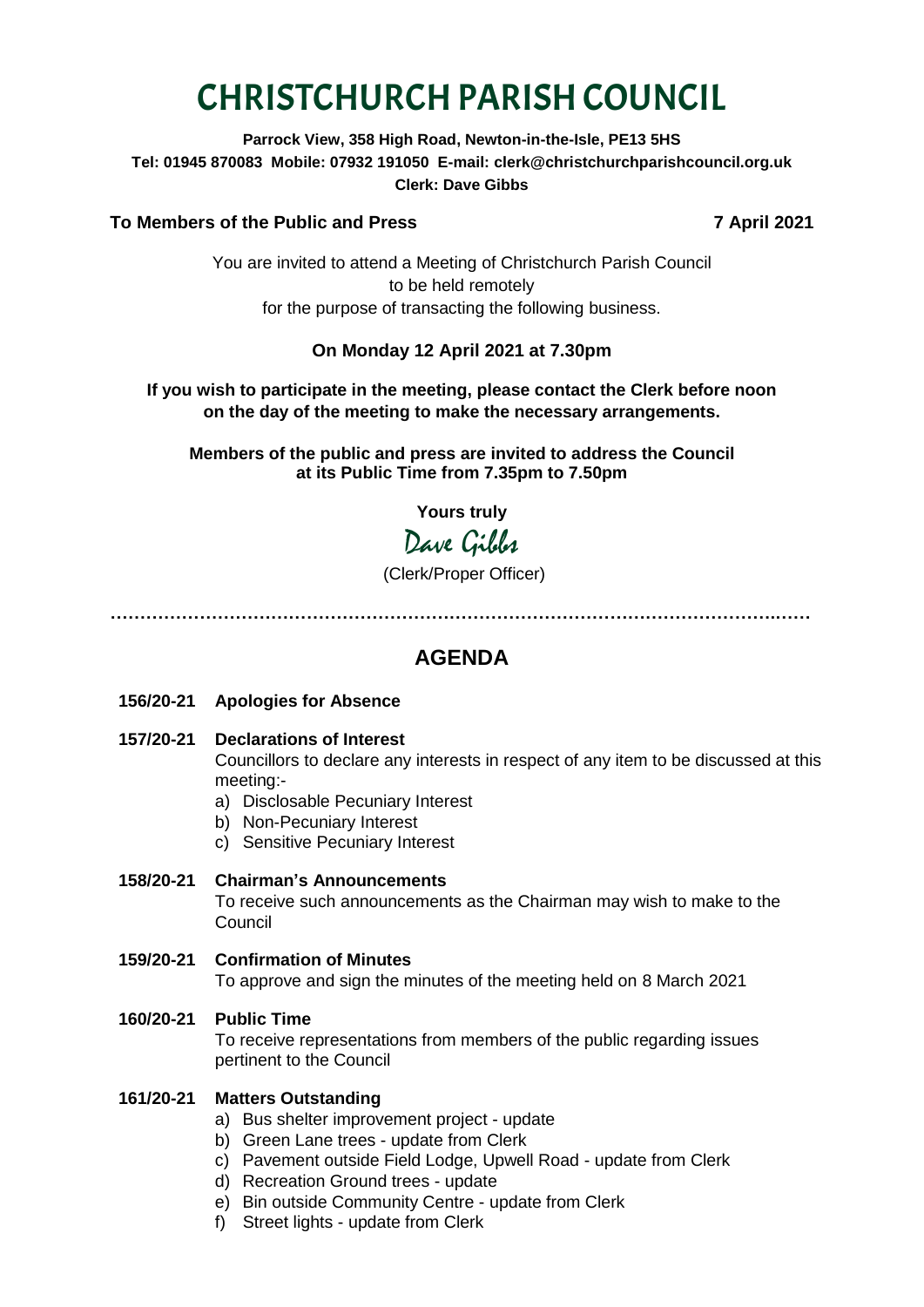# CHRISTCHURCH PARISH COUNCIL

**Parrock View, 358 High Road, Newton-in-the-Isle, PE13 5HS Tel: 01945 870083 Mobile: 07932 191050 E-mail: clerk@christchurchparishcouncil.org.uk Clerk: Dave Gibbs**

#### **To Members of the Public and Press 7 April 2021**

You are invited to attend a Meeting of Christchurch Parish Council to be held remotely for the purpose of transacting the following business.

#### **On Monday 12 April 2021 at 7.30pm**

#### **If you wish to participate in the meeting, please contact the Clerk before noon on the day of the meeting to make the necessary arrangements.**

**Members of the public and press are invited to address the Council at its Public Time from 7.35pm to 7.50pm**

**Yours truly**

## Dave Gibbs

(Clerk/Proper Officer)

**………………………………………………………………………………………………….……**

### **AGENDA**

#### **156/20-21 Apologies for Absence**

- **157/20-21 Declarations of Interest** Councillors to declare any interests in respect of any item to be discussed at this meeting:
	- a) Disclosable Pecuniary Interest
	- b) Non-Pecuniary Interest
	- c) Sensitive Pecuniary Interest

#### **158/20-21 Chairman's Announcements**

To receive such announcements as the Chairman may wish to make to the Council

**159/20-21 Confirmation of Minutes**  To approve and sign the minutes of the meeting held on 8 March 2021

#### **160/20-21 Public Time**

To receive representations from members of the public regarding issues pertinent to the Council

#### **161/20-21 Matters Outstanding**

- a) Bus shelter improvement project update
- b) Green Lane trees update from Clerk
- c) Pavement outside Field Lodge, Upwell Road update from Clerk
- d) Recreation Ground trees update
- e) Bin outside Community Centre update from Clerk
- f) Street lights update from Clerk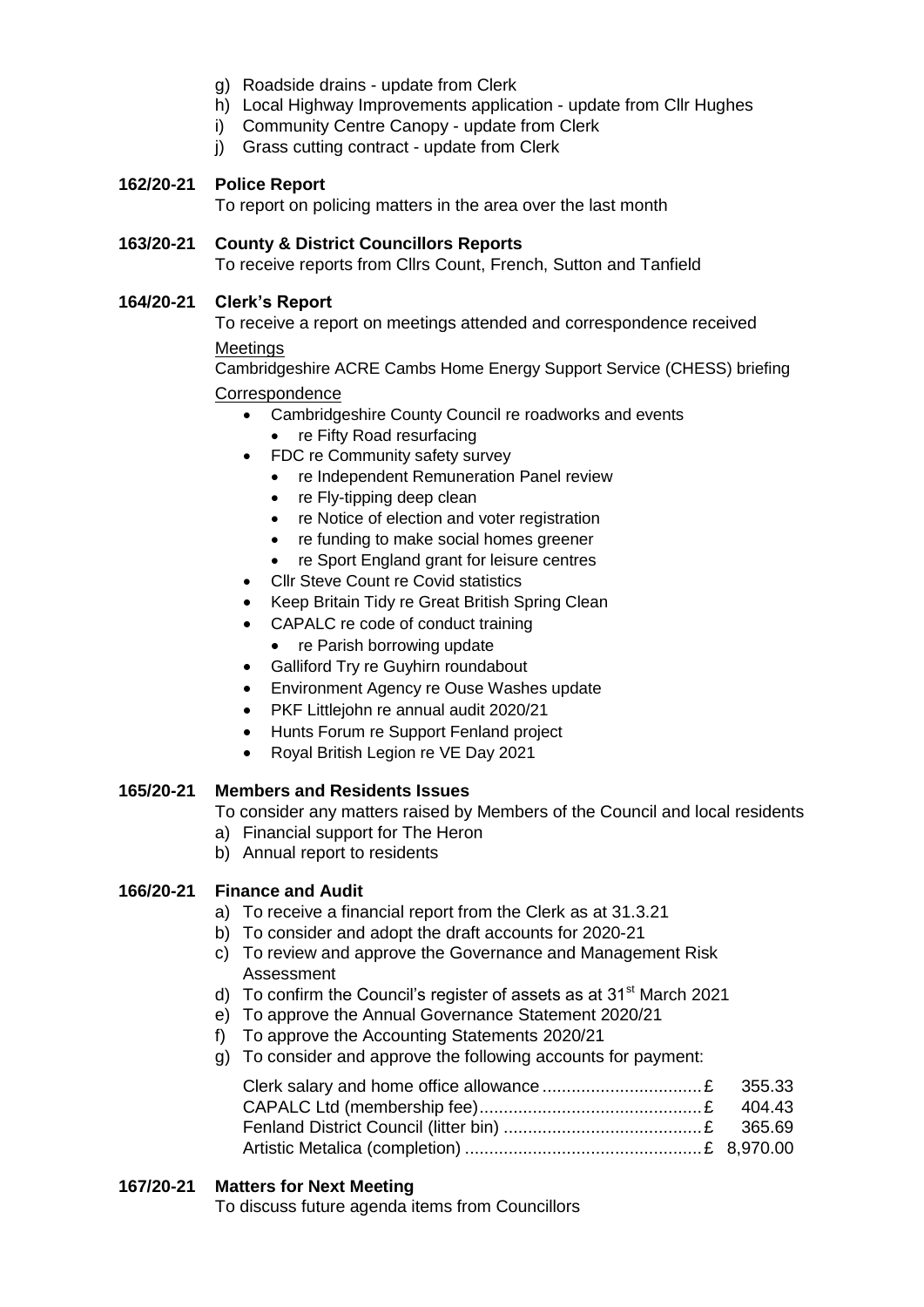- g) Roadside drains update from Clerk
- h) Local Highway Improvements application update from Cllr Hughes
- i) Community Centre Canopy update from Clerk
- j) Grass cutting contract update from Clerk

#### **162/20-21 Police Report**

To report on policing matters in the area over the last month

#### **163/20-21 County & District Councillors Reports**

To receive reports from Cllrs Count, French, Sutton and Tanfield

#### **164/20-21 Clerk's Report**

To receive a report on meetings attended and correspondence received **Meetings** 

Cambridgeshire ACRE Cambs Home Energy Support Service (CHESS) briefing

#### **Correspondence**

- Cambridgeshire County Council re roadworks and events
	- re Fifty Road resurfacing
- FDC re Community safety survey
	- re Independent Remuneration Panel review
	- re Fly-tipping deep clean
	- re Notice of election and voter registration
	- re funding to make social homes greener
	- re Sport England grant for leisure centres
- Cllr Steve Count re Covid statistics
- Keep Britain Tidy re Great British Spring Clean
- CAPALC re code of conduct training
	- re Parish borrowing update
- Galliford Try re Guyhirn roundabout
- Environment Agency re Ouse Washes update
- PKF Littlejohn re annual audit 2020/21
- Hunts Forum re Support Fenland project
- Royal British Legion re VE Day 2021

#### **165/20-21 Members and Residents Issues**

- To consider any matters raised by Members of the Council and local residents
- a) Financial support for The Heron
- b) Annual report to residents

#### **166/20-21 Finance and Audit**

- a) To receive a financial report from the Clerk as at 31.3.21
- b) To consider and adopt the draft accounts for 2020-21
- c) To review and approve the Governance and Management Risk Assessment
- d) To confirm the Council's register of assets as at  $31<sup>st</sup>$  March 2021
- e) To approve the Annual Governance Statement 2020/21
- f) To approve the Accounting Statements 2020/21
- g) To consider and approve the following accounts for payment:

**167/20-21 Matters for Next Meeting**

To discuss future agenda items from Councillors